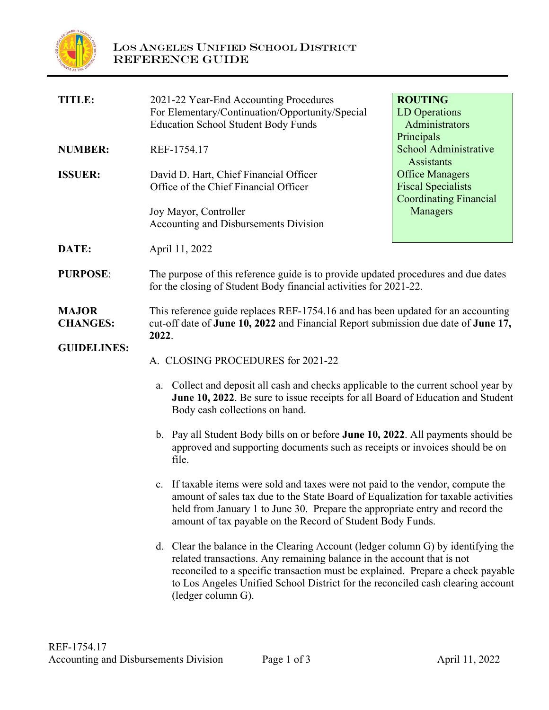

| <b>TITLE:</b>                   | 2021-22 Year-End Accounting Procedures<br>For Elementary/Continuation/Opportunity/Special<br><b>Education School Student Body Funds</b>                                                                                                                                                                                                                                                                                                                                                         | <b>ROUTING</b><br><b>LD</b> Operations<br>Administrators<br>Principals               |
|---------------------------------|-------------------------------------------------------------------------------------------------------------------------------------------------------------------------------------------------------------------------------------------------------------------------------------------------------------------------------------------------------------------------------------------------------------------------------------------------------------------------------------------------|--------------------------------------------------------------------------------------|
| <b>NUMBER:</b>                  | REF-1754.17                                                                                                                                                                                                                                                                                                                                                                                                                                                                                     | <b>School Administrative</b><br><b>Assistants</b>                                    |
| <b>ISSUER:</b>                  | David D. Hart, Chief Financial Officer<br>Office of the Chief Financial Officer                                                                                                                                                                                                                                                                                                                                                                                                                 | <b>Office Managers</b><br><b>Fiscal Specialists</b><br><b>Coordinating Financial</b> |
|                                 | Joy Mayor, Controller<br>Accounting and Disbursements Division                                                                                                                                                                                                                                                                                                                                                                                                                                  | Managers                                                                             |
| DATE:                           | April 11, 2022                                                                                                                                                                                                                                                                                                                                                                                                                                                                                  |                                                                                      |
| <b>PURPOSE:</b>                 | The purpose of this reference guide is to provide updated procedures and due dates<br>for the closing of Student Body financial activities for 2021-22.                                                                                                                                                                                                                                                                                                                                         |                                                                                      |
| <b>MAJOR</b><br><b>CHANGES:</b> | This reference guide replaces REF-1754.16 and has been updated for an accounting<br>cut-off date of June 10, 2022 and Financial Report submission due date of June 17,<br>2022.                                                                                                                                                                                                                                                                                                                 |                                                                                      |
| <b>GUIDELINES:</b>              | A. CLOSING PROCEDURES for 2021-22                                                                                                                                                                                                                                                                                                                                                                                                                                                               |                                                                                      |
|                                 | Collect and deposit all cash and checks applicable to the current school year by<br>a.<br>June 10, 2022. Be sure to issue receipts for all Board of Education and Student<br>Body cash collections on hand.                                                                                                                                                                                                                                                                                     |                                                                                      |
|                                 | b. Pay all Student Body bills on or before June 10, 2022. All payments should be<br>approved and supporting documents such as receipts or invoices should be on<br>file.<br>c. If taxable items were sold and taxes were not paid to the vendor, compute the<br>amount of sales tax due to the State Board of Equalization for taxable activities<br>held from January 1 to June 30. Prepare the appropriate entry and record the<br>amount of tax payable on the Record of Student Body Funds. |                                                                                      |
|                                 |                                                                                                                                                                                                                                                                                                                                                                                                                                                                                                 |                                                                                      |
|                                 | d. Clear the balance in the Clearing Account (ledger column G) by identifying the<br>related transactions. Any remaining balance in the account that is not<br>reconciled to a specific transaction must be explained. Prepare a check payable<br>to Los Angeles Unified School District for the reconciled cash clearing account<br>(ledger column G).                                                                                                                                         |                                                                                      |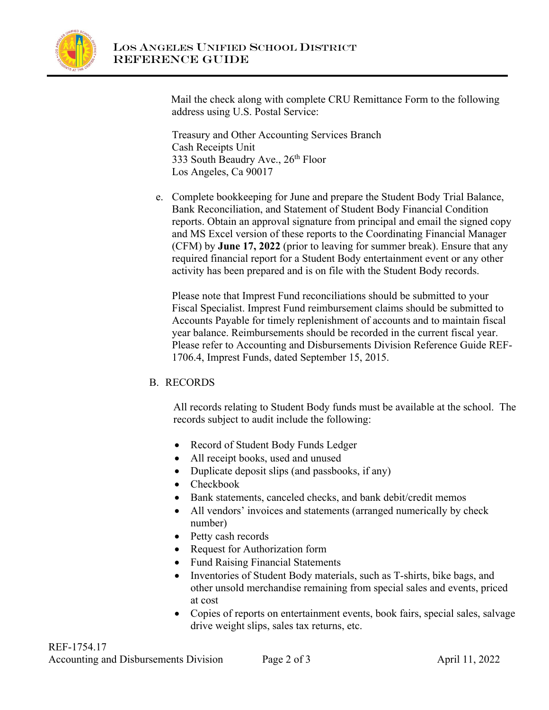

 Mail the check along with complete CRU Remittance Form to the following address using U.S. Postal Service:

Treasury and Other Accounting Services Branch Cash Receipts Unit 333 South Beaudry Ave.,  $26<sup>th</sup>$  Floor Los Angeles, Ca 90017

e. Complete bookkeeping for June and prepare the Student Body Trial Balance, Bank Reconciliation, and Statement of Student Body Financial Condition reports. Obtain an approval signature from principal and email the signed copy and MS Excel version of these reports to the Coordinating Financial Manager (CFM) by **June 17, 2022** (prior to leaving for summer break). Ensure that any required financial report for a Student Body entertainment event or any other activity has been prepared and is on file with the Student Body records.

Please note that Imprest Fund reconciliations should be submitted to your Fiscal Specialist. Imprest Fund reimbursement claims should be submitted to Accounts Payable for timely replenishment of accounts and to maintain fiscal year balance. Reimbursements should be recorded in the current fiscal year. Please refer to Accounting and Disbursements Division Reference Guide REF-1706.4, Imprest Funds, dated September 15, 2015.

# B. RECORDS

All records relating to Student Body funds must be available at the school. The records subject to audit include the following:

- Record of Student Body Funds Ledger
- All receipt books, used and unused
- Duplicate deposit slips (and passbooks, if any)
- Checkbook
- Bank statements, canceled checks, and bank debit/credit memos
- All vendors' invoices and statements (arranged numerically by check number)
- Petty cash records
- Request for Authorization form
- Fund Raising Financial Statements
- Inventories of Student Body materials, such as T-shirts, bike bags, and other unsold merchandise remaining from special sales and events, priced at cost
- Copies of reports on entertainment events, book fairs, special sales, salvage drive weight slips, sales tax returns, etc.